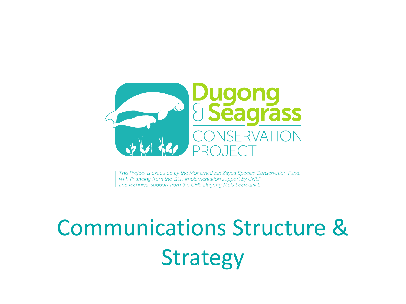

This Project is executed by the Mohamed bin Zayed Species Conservation Fund, with financing from the GEF, implementation support by UNEP and technical support from the CMS Dugong MoU Secretariat.

# Communications Structure & Strategy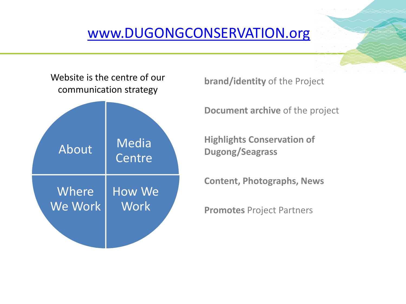## [www.DUGONGCONSERVATION.org](http://www.dugongconservation.org/)



**brand/identity** of the Project

**Document archive** of the project

**Highlights Conservation of Dugong/Seagrass**

**Content, Photographs, News** 

**Promotes** Project Partners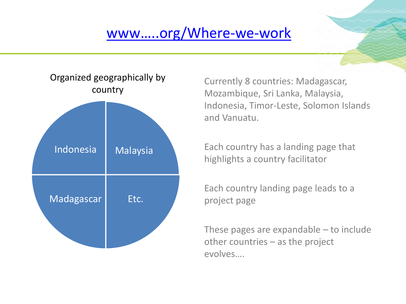# [www…..org/Where](http://www.dugongconservation.org/where-we-work/indonesia/)-we-work



Currently 8 countries: Madagascar, Mozambique, Sri Lanka, Malaysia, Indonesia, Timor-Leste, Solomon Islands and Vanuatu.

Each country has a landing page that highlights a country facilitator

Each country landing page leads to a project page

These pages are expandable – to include other countries – as the project evolves….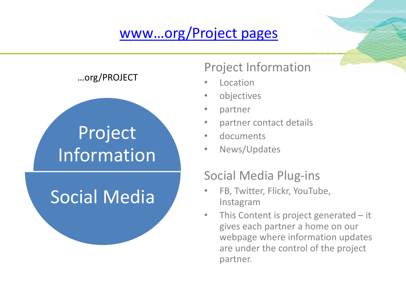# [www…org/Project pages](http://www.http/www.dugongconservation.org/project/improving-national-awareness-research-dugong-seagrass-indonesia-id2/.org/where-we-work/indonesia/)



…org/PROJECT

### Project Information

- **Location**
- objectives
- partner
- partner contact details
- documents
- News/Updates

### Social Media Plug-ins

- FB, Twitter, Flickr, YouTube, Instagram
- This Content is project generated it gives each partner a home on our webpage where information updates are under the control of the project partner.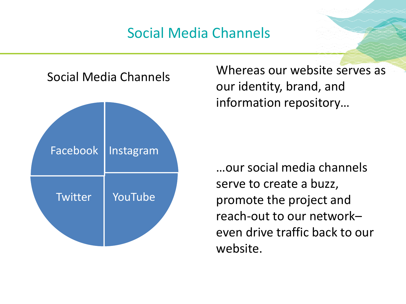# Social Media Channels



Social Media Channels Whereas our website serves as our identity, brand, and information repository…

> …our social media channels serve to create a buzz, promote the project and reach-out to our network– even drive traffic back to our website.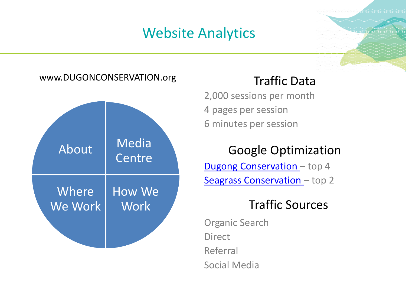# Website Analytics



2,000 sessions per month 4 pages per session 6 minutes per session

### Google Optimization

**Dugong Conservation** - top 4 [Seagrass Conservation](https://www.google.ae/?gfe_rd=cr&ei=IcvIWI7gIqTH8Ae1k5yICg&gws_rd=ssl#q=seagrass+conservation&*) - top 2

### Traffic Sources

Organic Search Direct Referral Social Media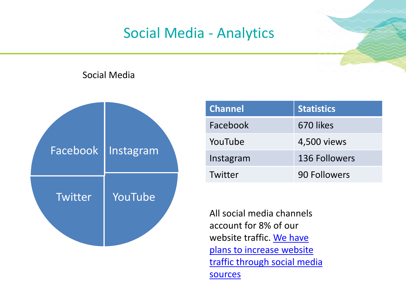# Social Media - Analytics

### Social Media



| <b>Channel</b> | <b>Statistics</b> |
|----------------|-------------------|
| Facebook       | 670 likes         |
| YouTube        | 4,500 views       |
| Instagram      | 136 Followers     |
| Twitter        | 90 Followers      |

All social media channels account for 8% of our website traffic. We have plans to increase website [traffic through social media](https://www.instagram.com/dugongproject/) sources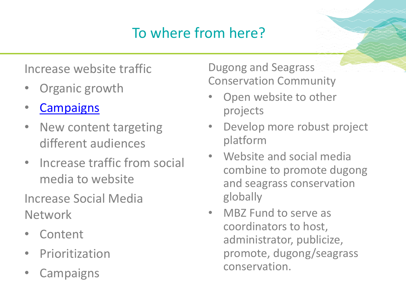# To where from here?

### Increase website traffic

- Organic growth
- **[Campaigns](https://www.instagram.com/dugongproject/)**
- New content targeting different audiences
- Increase traffic from social media to website

Increase Social Media Network

- Content
- **Prioritization**
- **Campaigns**

Dugong and Seagrass Conservation Community

- Open website to other projects
- Develop more robust project platform
- Website and social media combine to promote dugong and seagrass conservation globally
- MBZ Fund to serve as coordinators to host, administrator, publicize, promote, dugong/seagrass conservation.